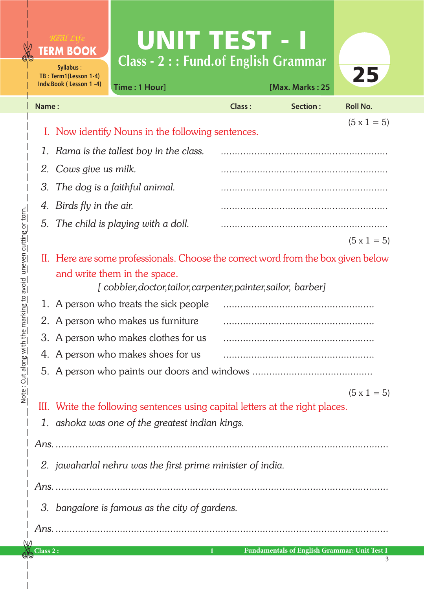## UNIT TEST - I **Class - 2 : : Fund.of English Grammar**

|                               | Syllabus:<br>TB: Term1(Lesson 1-4) |                                                                               | 25                                                                                            |               |                 |                    |  |
|-------------------------------|------------------------------------|-------------------------------------------------------------------------------|-----------------------------------------------------------------------------------------------|---------------|-----------------|--------------------|--|
|                               |                                    | Indv.Book (Lesson 1-4)                                                        | Time: 1 Hour]                                                                                 |               | [Max. Marks: 25 |                    |  |
|                               | Name:                              |                                                                               |                                                                                               | <b>Class:</b> | Section:        | <b>Roll No.</b>    |  |
|                               |                                    |                                                                               |                                                                                               |               |                 | $(5 \times 1 = 5)$ |  |
|                               |                                    |                                                                               | I. Now identify Nouns in the following sentences.                                             |               |                 |                    |  |
|                               |                                    |                                                                               | 1. Rama is the tallest boy in the class.                                                      |               |                 |                    |  |
|                               |                                    | 2. Cows give us milk.                                                         |                                                                                               |               |                 |                    |  |
|                               | 3.                                 | The dog is a faithful animal.                                                 |                                                                                               |               |                 |                    |  |
|                               | 4.                                 | Birds fly in the air.                                                         |                                                                                               |               |                 |                    |  |
|                               |                                    |                                                                               | 5. The child is playing with a doll.                                                          |               |                 |                    |  |
|                               |                                    |                                                                               |                                                                                               |               |                 | $(5 \times 1 = 5)$ |  |
|                               |                                    |                                                                               | II. Here are some professionals. Choose the correct word from the box given below             |               |                 |                    |  |
| avoia uneven cutring or       |                                    |                                                                               | and write them in the space.<br>[cobbler, doctor, tailor, carpenter, painter, sailor, barber] |               |                 |                    |  |
| Cut along with the marking to |                                    |                                                                               | 1. A person who treats the sick people                                                        |               |                 |                    |  |
|                               |                                    |                                                                               | 2. A person who makes us furniture                                                            |               |                 |                    |  |
|                               |                                    |                                                                               | 3. A person who makes clothes for us                                                          |               |                 |                    |  |
|                               |                                    |                                                                               | 4. A person who makes shoes for us                                                            |               |                 |                    |  |
|                               |                                    |                                                                               |                                                                                               |               |                 |                    |  |
|                               |                                    |                                                                               |                                                                                               |               |                 | $(5 \times 1 = 5)$ |  |
| $\frac{1}{2}$                 |                                    | III. Write the following sentences using capital letters at the right places. |                                                                                               |               |                 |                    |  |
|                               |                                    | 1. ashoka was one of the greatest indian kings.                               |                                                                                               |               |                 |                    |  |
|                               |                                    |                                                                               |                                                                                               |               |                 |                    |  |
|                               |                                    |                                                                               | 2. jawaharlal nehru was the first prime minister of india.                                    |               |                 |                    |  |
|                               |                                    |                                                                               |                                                                                               |               |                 |                    |  |
|                               |                                    |                                                                               |                                                                                               |               |                 |                    |  |
|                               |                                    |                                                                               | 3. bangalore is famous as the city of gardens.                                                |               |                 |                    |  |
|                               |                                    |                                                                               |                                                                                               |               |                 |                    |  |
|                               |                                    |                                                                               |                                                                                               |               |                 |                    |  |

ðÑ

Note : Cut along with the marking to avoid uneven cutting or torn.

Note : Cut along with the marking to avoid uneven cutting or torn.

**TERM BOOK**